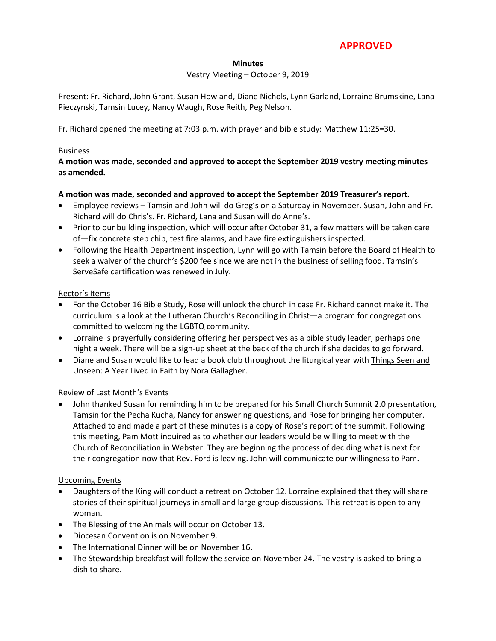## **APPROVED**

#### **Minutes**

#### Vestry Meeting – October 9, 2019

Present: Fr. Richard, John Grant, Susan Howland, Diane Nichols, Lynn Garland, Lorraine Brumskine, Lana Pieczynski, Tamsin Lucey, Nancy Waugh, Rose Reith, Peg Nelson.

Fr. Richard opened the meeting at 7:03 p.m. with prayer and bible study: Matthew 11:25=30.

#### Business

#### **A motion was made, seconded and approved to accept the September 2019 vestry meeting minutes as amended.**

#### **A motion was made, seconded and approved to accept the September 2019 Treasurer's report.**

- Employee reviews Tamsin and John will do Greg's on a Saturday in November. Susan, John and Fr. Richard will do Chris's. Fr. Richard, Lana and Susan will do Anne's.
- Prior to our building inspection, which will occur after October 31, a few matters will be taken care of—fix concrete step chip, test fire alarms, and have fire extinguishers inspected.
- Following the Health Department inspection, Lynn will go with Tamsin before the Board of Health to seek a waiver of the church's \$200 fee since we are not in the business of selling food. Tamsin's ServeSafe certification was renewed in July.

#### Rector's Items

- For the October 16 Bible Study, Rose will unlock the church in case Fr. Richard cannot make it. The curriculum is a look at the Lutheran Church's Reconciling in Christ—a program for congregations committed to welcoming the LGBTQ community.
- Lorraine is prayerfully considering offering her perspectives as a bible study leader, perhaps one night a week. There will be a sign-up sheet at the back of the church if she decides to go forward.
- Diane and Susan would like to lead a book club throughout the liturgical year with Things Seen and Unseen: A Year Lived in Faith by Nora Gallagher.

#### Review of Last Month's Events

 John thanked Susan for reminding him to be prepared for his Small Church Summit 2.0 presentation, Tamsin for the Pecha Kucha, Nancy for answering questions, and Rose for bringing her computer. Attached to and made a part of these minutes is a copy of Rose's report of the summit. Following this meeting, Pam Mott inquired as to whether our leaders would be willing to meet with the Church of Reconciliation in Webster. They are beginning the process of deciding what is next for their congregation now that Rev. Ford is leaving. John will communicate our willingness to Pam.

#### Upcoming Events

- Daughters of the King will conduct a retreat on October 12. Lorraine explained that they will share stories of their spiritual journeys in small and large group discussions. This retreat is open to any woman.
- The Blessing of the Animals will occur on October 13.
- Diocesan Convention is on November 9.
- The International Dinner will be on November 16.
- The Stewardship breakfast will follow the service on November 24. The vestry is asked to bring a dish to share.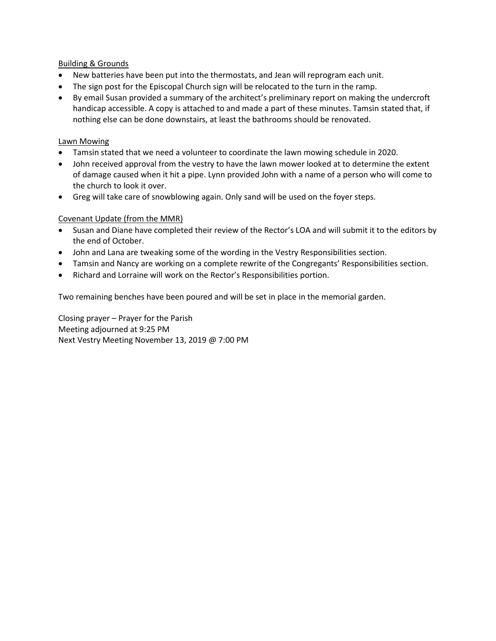#### Building & Grounds

- New batteries have been put into the thermostats, and Jean will reprogram each unit.
- The sign post for the Episcopal Church sign will be relocated to the turn in the ramp.
- By email Susan provided a summary of the architect's preliminary report on making the undercroft handicap accessible. A copy is attached to and made a part of these minutes. Tamsin stated that, if nothing else can be done downstairs, at least the bathrooms should be renovated.

#### Lawn Mowing

- Tamsin stated that we need a volunteer to coordinate the lawn mowing schedule in 2020.
- John received approval from the vestry to have the lawn mower looked at to determine the extent of damage caused when it hit a pipe. Lynn provided John with a name of a person who will come to the church to look it over.
- Greg will take care of snowblowing again. Only sand will be used on the foyer steps.

#### Covenant Update (from the MMR)

- Susan and Diane have completed their review of the Rector's LOA and will submit it to the editors by the end of October.
- John and Lana are tweaking some of the wording in the Vestry Responsibilities section.
- Tamsin and Nancy are working on a complete rewrite of the Congregants' Responsibilities section.
- Richard and Lorraine will work on the Rector's Responsibilities portion.

Two remaining benches have been poured and will be set in place in the memorial garden.

Closing prayer – Prayer for the Parish Meeting adjourned at 9:25 PM Next Vestry Meeting November 13, 2019 @ 7:00 PM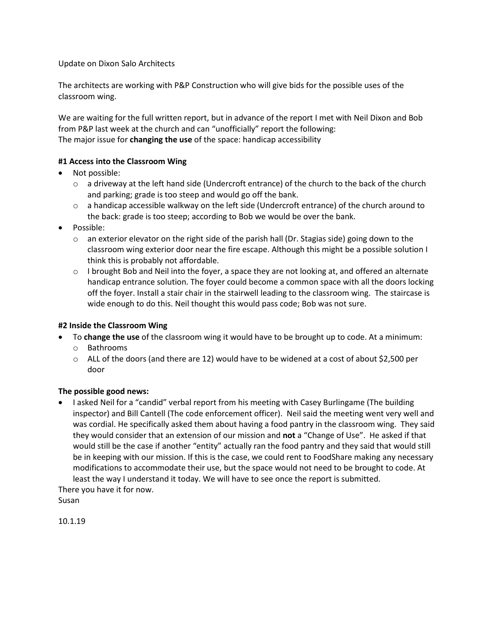Update on Dixon Salo Architects

The architects are working with P&P Construction who will give bids for the possible uses of the classroom wing.

We are waiting for the full written report, but in advance of the report I met with Neil Dixon and Bob from P&P last week at the church and can "unofficially" report the following: The major issue for **changing the use** of the space: handicap accessibility

### **#1 Access into the Classroom Wing**

- Not possible:
	- $\circ$  a driveway at the left hand side (Undercroft entrance) of the church to the back of the church and parking; grade is too steep and would go off the bank.
	- o a handicap accessible walkway on the left side (Undercroft entrance) of the church around to the back: grade is too steep; according to Bob we would be over the bank.
- Possible:
	- $\circ$  an exterior elevator on the right side of the parish hall (Dr. Stagias side) going down to the classroom wing exterior door near the fire escape. Although this might be a possible solution I think this is probably not affordable.
	- o I brought Bob and Neil into the foyer, a space they are not looking at, and offered an alternate handicap entrance solution. The foyer could become a common space with all the doors locking off the foyer. Install a stair chair in the stairwell leading to the classroom wing. The staircase is wide enough to do this. Neil thought this would pass code; Bob was not sure.

#### **#2 Inside the Classroom Wing**

- To **change the use** of the classroom wing it would have to be brought up to code. At a minimum:
	- o Bathrooms
	- o ALL of the doors (and there are 12) would have to be widened at a cost of about \$2,500 per door

#### **The possible good news:**

 I asked Neil for a "candid" verbal report from his meeting with Casey Burlingame (The building inspector) and Bill Cantell (The code enforcement officer). Neil said the meeting went very well and was cordial. He specifically asked them about having a food pantry in the classroom wing. They said they would consider that an extension of our mission and **not** a "Change of Use". He asked if that would still be the case if another "entity" actually ran the food pantry and they said that would still be in keeping with our mission. If this is the case, we could rent to FoodShare making any necessary modifications to accommodate their use, but the space would not need to be brought to code. At least the way I understand it today. We will have to see once the report is submitted.

There you have it for now. Susan

10.1.19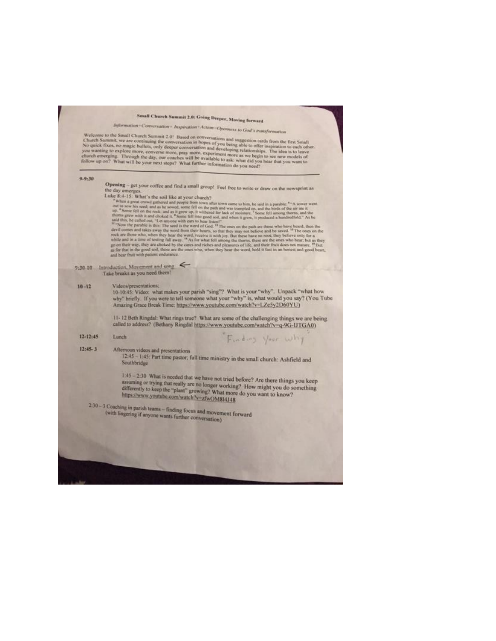# Small Church Summit 2.0: Going Deeper, Moving forward

Information - Conversation - Inspiration - Action - Openness to God's transformation

We<br>kome to the Small Church Summit 2.0! Based on conversations and suggestion cards from the first Small<br>Church Summit, we are continuing the conversation in hopes of you being able to offer inspiration to each other<br>No q

|  | $9 - 9 - 30$ |  |  |
|--|--------------|--|--|
|  |              |  |  |

 $12:45-3$ 

Opening - get your coffee and find a small group! Feel free to write or draw on the newsprint as the day emerges.<br>Luke 8:4-15: What's the soil like at your church?

like  $\mathbb{R}\times\mathbb{R}^3$ . S. What's the soil like at your church?<br>
We fixed at your church?<br>
S. When a great cross games and people from two mater town came to him, he said in a parable.<sup>4-></sup>A sower went<br>
out to some his se

#### 9:30-10 Introduction, Movement and song Take breaks as you need them!

 $10 - 12$ Videos/presentations;

Values presentations.<br>
10-10:45: Video: what makes your parish "sing"? What is your "why". Unpack "what how<br>
why" briefly. If you were to tell someone what your "why" is, what would you say? (You Tube<br>
Amazing Grace Break

11-12 Beth Ringdal: What rings true? What are some of the challenging things we are being called to address? (Bethany Ringdal https://www.youtube.com/watch?v=q-9G-IJTGA0)

Finding Your why

#### $12 - 12 - 45$ Lunch

Afternoon videos and presentations

12-45 - 1:45: Part time pastor; full time ministry in the small church: Ashfield and Southbridge

1:45 - 2:30 What is needed that we have not tried before? Are there things you keep assuming or trying that really are no longer working? How might you do something differently to keep the "plant" growing? What more do you want to know? https://www.youtube.com/watch?v=zfwOM814J48

2:30 - 3 Coaching in parish teams - finding focus and movement forward (with lingering if anyone wants further conversation)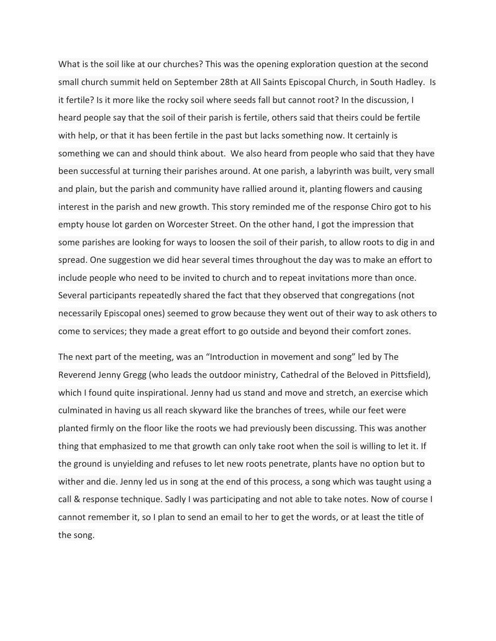What is the soil like at our churches? This was the opening exploration question at the second small church summit held on September 28th at [All Saints Episcopal Church, in South](https://maps.google.com/maps?hl=en&q=All%20Saints%20Episcopal%20Church%2C%207%20Woodbridge%20Street%2C%20%20South%20Hadley%2C%20MA%2001075%20Sat%2C%20September%2028%2C%202019&source=calendar) Hadley. Is it fertile? Is it more like the rocky soil where seeds fall but cannot root? In the discussion, I heard people say that the soil of their parish is fertile, others said that theirs could be fertile with help, or that it has been fertile in the past but lacks something now. It certainly is something we can and should think about. We also heard from people who said that they have been successful at turning their parishes around. At one parish, a labyrinth was built, very small and plain, but the parish and community have rallied around it, planting flowers and causing interest in the parish and new growth. This story reminded me of the response Chiro got to his empty house lot garden on Worcester Street. On the other hand, I got the impression that some parishes are looking for ways to loosen the soil of their parish, to allow roots to dig in and spread. One suggestion we did hear several times throughout the day was to make an effort to include people who need to be invited to church and to repeat invitations more than once. Several participants repeatedly shared the fact that they observed that congregations (not necessarily Episcopal ones) seemed to grow because they went out of their way to ask others to come to services; they made a great effort to go outside and beyond their comfort zones.

The next part of the meeting, was an "Introduction in movement and song" led by The Reverend Jenny Gregg (who leads the outdoor ministry, [Cathedral of the Beloved](https://www.facebook.com/Cathedral-Pittsfield-1598086980433959/) in Pittsfield), which I found quite inspirational. Jenny had us stand and move and stretch, an exercise which culminated in having us all reach skyward like the branches of trees, while our feet were planted firmly on the floor like the roots we had previously been discussing. This was another thing that emphasized to me that growth can only take root when the soil is willing to let it. If the ground is unyielding and refuses to let new roots penetrate, plants have no option but to wither and die. Jenny led us in song at the end of this process, a song which was taught using a call & response technique. Sadly I was participating and not able to take notes. Now of course I cannot remember it, so I plan to send an email to her to get the words, or at least the title of the song.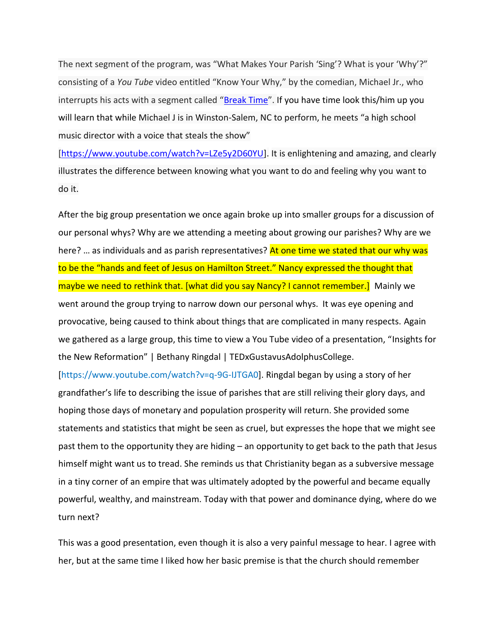The next segment of the program, was "What Makes Your Parish 'Sing'? What is your 'Why'?" consisting of a *You Tube* video entitled "Know Your Why," by the comedian, Michael Jr., who interrupts his acts with a segment called "[Break Time](https://www.youtube.com/watch?v=LZe5y2D60YU)". If you have time look this/him up you will learn that while Michael J is in Winston-Salem, NC to perform, he meets "a high school music director with a voice that steals the show"

[\[https://www.youtube.com/watch?v=LZe5y2D60YU\]](https://www.youtube.com/watch?v=LZe5y2D60YU). It is enlightening and amazing, and clearly illustrates the difference between knowing what you want to do and feeling why you want to do it.

After the big group presentation we once again broke up into smaller groups for a discussion of our personal whys? Why are we attending a meeting about growing our parishes? Why are we here? ... as individuals and as parish representatives? At one time we stated that our why was to be the "hands and feet of Jesus on Hamilton Street." Nancy expressed the thought that maybe we need to rethink that. [what did you say Nancy? I cannot remember.] Mainly we went around the group trying to narrow down our personal whys. It was eye opening and provocative, being caused to think about things that are complicated in many respects. Again we gathered as a large group, this time to view a You Tube video of a presentation, "Insights for the New Reformation" | Bethany Ringdal | TEDxGustavusAdolphusCollege.

[\[https://www.youtube.com/watch?v=q-9G-IJTGA0\]](https://www.youtube.com/watch?v=q-9G-IJTGA0). Ringdal began by using a story of her grandfather's life to describing the issue of parishes that are still reliving their glory days, and hoping those days of monetary and population prosperity will return. She provided some statements and statistics that might be seen as cruel, but expresses the hope that we might see past them to the opportunity they are hiding – an opportunity to get back to the path that Jesus himself might want us to tread. She reminds us that Christianity began as a subversive message in a tiny corner of an empire that was ultimately adopted by the powerful and became equally powerful, wealthy, and mainstream. Today with that power and dominance dying, where do we turn next?

This was a good presentation, even though it is also a very painful message to hear. I agree with her, but at the same time I liked how her basic premise is that the church should remember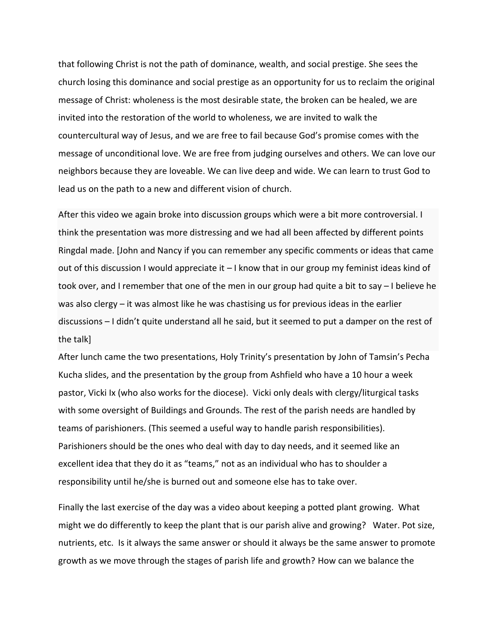that following Christ is not the path of dominance, wealth, and social prestige. She sees the church losing this dominance and social prestige as an opportunity for us to reclaim the original message of Christ: wholeness is the most desirable state, the broken can be healed, we are invited into the restoration of the world to wholeness, we are invited to walk the countercultural way of Jesus, and we are free to fail because God's promise comes with the message of unconditional love. We are free from judging ourselves and others. We can love our neighbors because they are loveable. We can live deep and wide. We can learn to trust God to lead us on the path to a new and different vision of church.

After this video we again broke into discussion groups which were a bit more controversial. I think the presentation was more distressing and we had all been affected by different points Ringdal made. [John and Nancy if you can remember any specific comments or ideas that came out of this discussion I would appreciate it  $-1$  know that in our group my feminist ideas kind of took over, and I remember that one of the men in our group had quite a bit to say – I believe he was also clergy – it was almost like he was chastising us for previous ideas in the earlier discussions – I didn't quite understand all he said, but it seemed to put a damper on the rest of the talk]

After lunch came the two presentations, Holy Trinity's presentation by John of Tamsin's Pecha Kucha slides, and the presentation by the group from Ashfield who have a 10 hour a week pastor, Vicki Ix (who also works for the diocese). Vicki only deals with clergy/liturgical tasks with some oversight of Buildings and Grounds. The rest of the parish needs are handled by teams of parishioners. (This seemed a useful way to handle parish responsibilities). Parishioners should be the ones who deal with day to day needs, and it seemed like an excellent idea that they do it as "teams," not as an individual who has to shoulder a responsibility until he/she is burned out and someone else has to take over.

Finally the last exercise of the day was a video about keeping a potted plant growing. What might we do differently to keep the plant that is our parish alive and growing? Water. Pot size, nutrients, etc. Is it always the same answer or should it always be the same answer to promote growth as we move through the stages of parish life and growth? How can we balance the